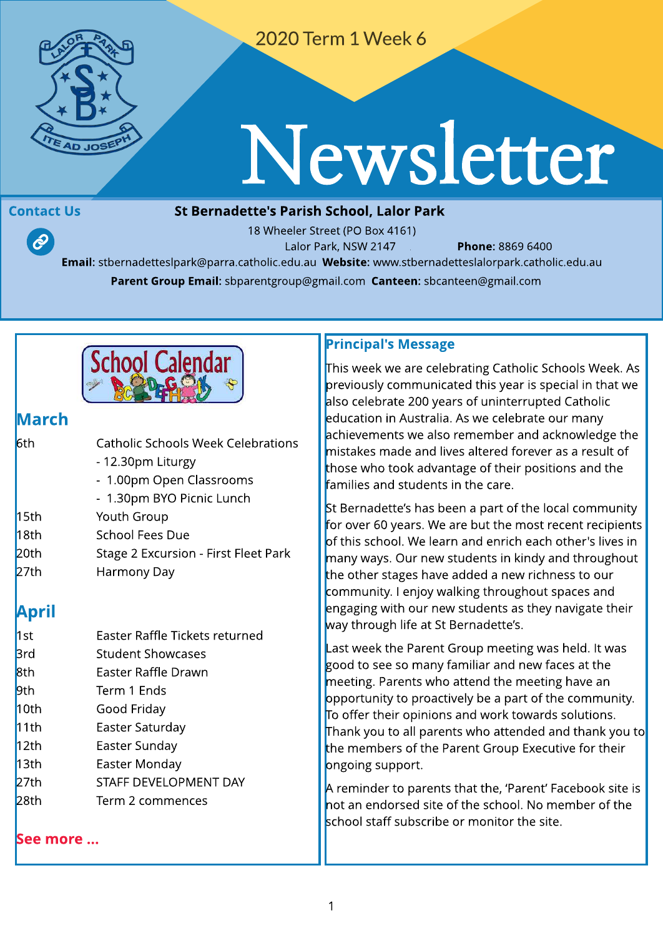

2020 Term 1 Week 6

# Newsletter

 $\mathcal{P}$ 

#### Contact Us **St Bernadette's Parish School, Lalor Park**

18 Wheeler Street (PO Box 4161) Lalor Park, NSW 2147 **Phone: 8869 6400** Email: stbernadetteslpark@parra.catholic.edu.au Website: [www.stbernadetteslalorpark.catholic.edu.au](http://www.stbernadetteslalorpark.catholic.edu.au) Parent Group Email: sbparentgroup@gmail.com Canteen: sbcanteen@gmail.com



## larch

| 6th  | <b>Catholic Schools Week Celebrations</b> |
|------|-------------------------------------------|
|      | - 12.30pm Liturgy                         |
|      | - 1.00pm Open Classrooms                  |
|      | - 1.30pm BYO Picnic Lunch                 |
| 15th | Youth Group                               |
| 18th | <b>School Fees Due</b>                    |
| 20th | Stage 2 Excursion - First Fleet Park      |
| 27th | Harmony Day                               |
|      |                                           |

## April

| 1st        | Easter Raffle Tickets returned |  |  |
|------------|--------------------------------|--|--|
| <b>Brd</b> | <b>Student Showcases</b>       |  |  |
| 8th        | Easter Raffle Drawn            |  |  |
| 9th        | Term 1 Ends                    |  |  |
| 10th       | Good Friday                    |  |  |
| 11th       | Easter Saturday                |  |  |
| 12th       | Easter Sunday                  |  |  |
| 13th       | Easter Monday                  |  |  |
| 27th       | STAFF DEVELOPMENT DAY          |  |  |
| 28th       | Term 2 commences               |  |  |
|            |                                |  |  |

[See](http://www.stbernadetteslalorpark.catholic.edu.au/Community/Events) m[ore](http://www.stbernadetteslalorpark.catholic.edu.au/Community/Events) [...](http://www.stbernadetteslalorpark.catholic.edu.au/Community/Events)

#### Principal's Message

This week we are celebrating Catholic Schools Week. As previously communicated this year is special in that we also celebrate 200 years of uninterrupted Catholic education in Australia. As we celebrate our many achievements we also remember and acknowledge the mistakes made and lives altered forever as a result of those who took advantage of their positions and the families and students in the care.

St Bernadette's has been a part of the local community for over 60 years. We are but the most recent recipients of this school. We learn and enrich each other's lives in many ways. Our new students in kindy and throughout the other stages have added a new richness to our community. I enjoy walking throughout spaces and engaging with our new students as they navigate their way through life at St Bernadette's.

Last week the Parent Group meeting was held. It was good to see so many familiar and new faces at the meeting. Parents who attend the meeting have an opportunity to proactively be a part of the community. To offer their opinions and work towards solutions. Thank you to all parents who attended and thank you to the members of the Parent Group Executive for their ongoing support.

A reminder to parents that the, 'Parent' Facebook site is not an endorsed site of the school. No member of the school staff subscribe or monitor the site.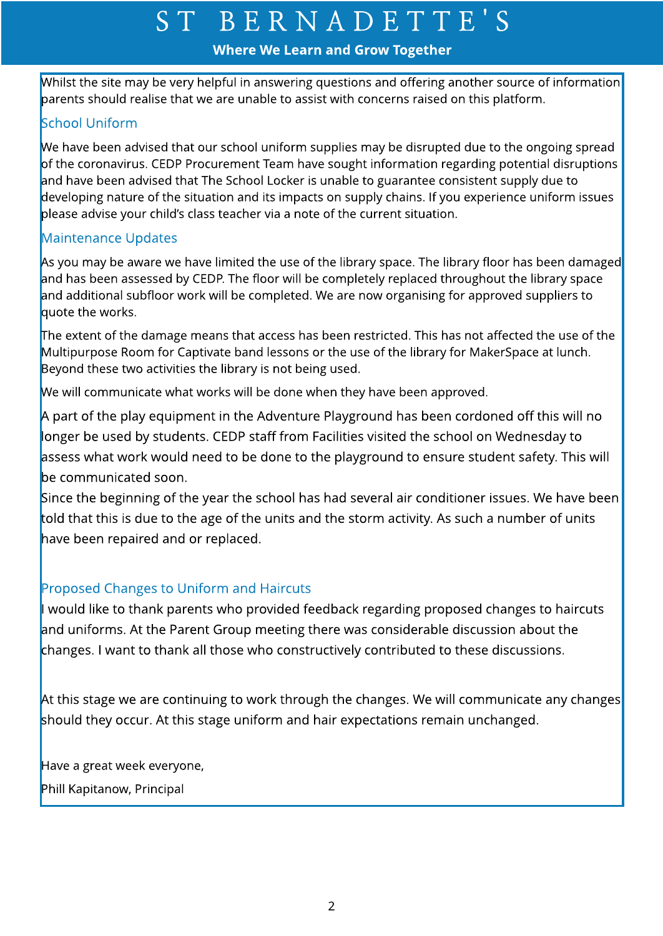#### Where We Learn and Grow Together

Whilst the site may be very helpful in answering questions and offering another source of information parents should realise that we are unable to assist with concerns raised on this platform.

### School Uniform

We have been advised that our school uniform supplies may be disrupted due to the ongoing spread of the coronavirus. CEDP Procurement Team have sought information regarding potential disruptions and have been advised that The School Locker is unable to guarantee consistent supply due to developing nature of the situation and its impacts on supply chains. If you experience uniform issues please advise your child's class teacher via a note of the current situation.

#### Maintenance Updates

As you may be aware we have limited the use of the library space. The library floor has been damaged and has been assessed by CEDP. The floor will be completely replaced throughout the library space and additional subfloor work will be completed. We are now organising for approved suppliers to quote the works.

The extent of the damage means that access has been restricted. This has not affected the use of the Multipurpose Room for Captivate band lessons or the use of the library for MakerSpace at lunch. Beyond these two activities the library is not being used.

We will communicate what works will be done when they have been approved.

A part of the play equipment in the Adventure Playground has been cordoned off this will no longer be used by students. CEDP staff from Facilities visited the school on Wednesday to assess what work would need to be done to the playground to ensure student safety. This will be communicated soon.

Since the beginning of the year the school has had several air conditioner issues. We have been told that this is due to the age of the units and the storm activity. As such a number of units have been repaired and or replaced.

#### Proposed Changes to Uniform and Haircuts

would like to thank parents who provided feedback regarding proposed changes to haircuts and uniforms. At the Parent Group meeting there was considerable discussion about the changes. I want to thank all those who constructively contributed to these discussions.

At this stage we are continuing to work through the changes. We will communicate any changes should they occur. At this stage uniform and hair expectations remain unchanged.

Have a great week everyone,

Phill Kapitanow, Principal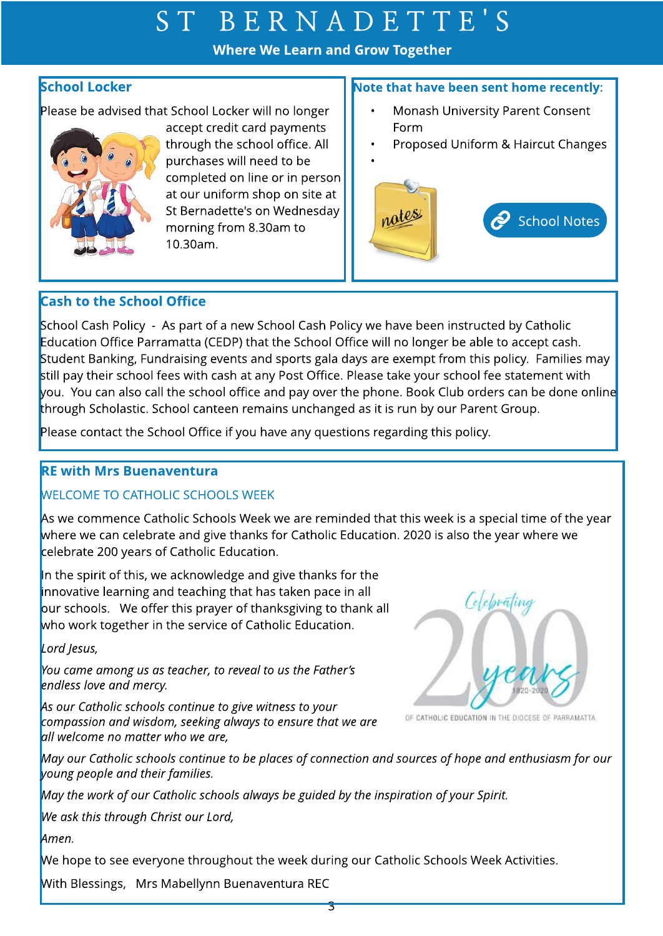#### Where We Learn and Grow Together

#### School Locker

Please be advised that School Locker will no longer



accept credit card payments through the school office. All purchases will need to be completed on line or in person at our uniform shop on site at St Bernadette's on Wednesday morning from 8.30am to 10.30am.

#### Note that have been sent home recently:

- Monash University Parent Consent Form
- Proposed Uniform & Haircut Changes



#### **Cash to the School Office**

School Cash Policy - As part of a new School Cash Policy we have been instructed by Catholic Education Office Parramatta (CEDP) that the School Office will no longer be able to accept cash. Student Banking, Fundraising events and sports gala days are exempt from this policy. Families may still pay their school fees with cash at any Post Office. Please take your school fee statement with you. You can also call the school office and pay over the phone. Book Club orders can be done online through Scholastic. School canteen remains unchanged as it is run by our Parent Group.

Please contact the School Office if you have any questions regarding this policy.

#### **RE with Mrs Buenaventura**

#### WELCOME TO CATHOLIC SCHOOLS WEEK

As we commence Catholic Schools Week we are reminded that this week is a special time of the year where we can celebrate and give thanks for Catholic Education. 2020 is also the year where we celebrate 200 years of Catholic Education.

In the spirit of this, we acknowledge and give thanks for the innovative learning and teaching that has taken pace in all our schools. We offer this prayer of thanksgiving to thank all who work together in the service of Catholic Education.

**Lord Jesus,**

**You came amongusasteacher, to reveal to usthe Father?s endlesslove and mercy.**

**Asour Catholic schoolscontinue to give witnessto your compassion and wisdom, seekingalwaysto ensure that we are all welcome no matter who we are,**



OF CATHOLIC EDUCATION IN THE DIOCESE OF PARRAMATTA

**May our Catholic schoolscontinue to be placesof connection and sourcesof hope and enthusiasm for our young people and their families.** 

**May the work of our Catholic schoolsalwaysbe guided by the inspiration of your Spirit.**

**We ask thisthrough Christ our Lord,**

**Amen.**

We hope to see everyone throughout the week during our Catholic Schools Week Activities.

With Blessings, Mrs Mabellynn Buenaventura REC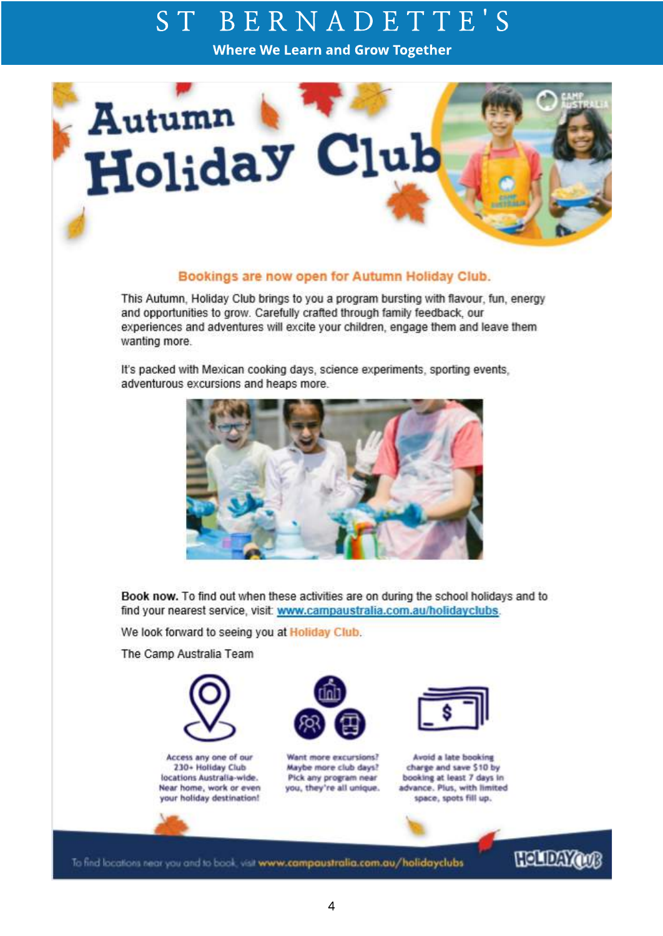Where We Learn and Grow Together



#### Bookings are now open for Autumn Holiday Club.

This Autumn, Holiday Club brings to you a program bursting with flavour, fun, energy and opportunities to grow. Carefully crafted through family feedback, our experiences and adventures will excite your children, engage them and leave them wanting more.

It's packed with Mexican cooking days, science experiments, sporting events, adventurous excursions and heaps more.



Book now. To find out when these activities are on during the school holidays and to find your nearest service, visit: www.campaustralia.com.au/holidayclubs.

We look forward to seeing you at Holiday Club.

The Camp Australia Team



Access any one of our 230+ Holiday Club locations Australia-wide. Near home, work or even your holiday destination!



Want more excursions? Maybe more club days? Pick any program near you, they're all unique.



Avoid a late booking charge and save \$10 by booking at least 7 days in advance. Plus, with limited space, spots fill up.

To find locations near you and to book, visit www.campaustralia.com.au/holidayclubs

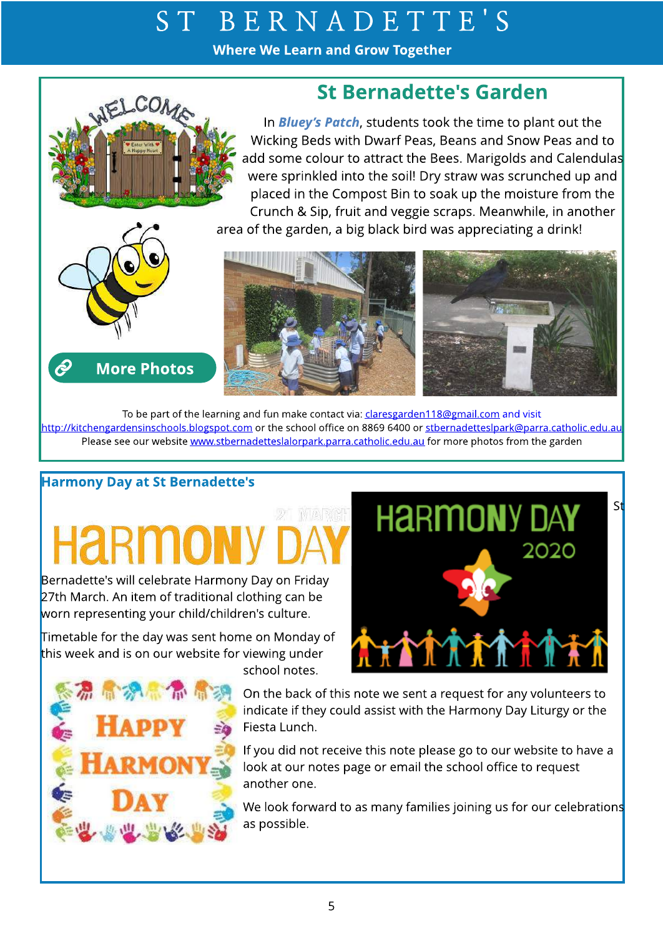Where We Learn and Grow Together

## St Bernadette's Garden

In **Bluey?s Patch**, students took the time to plant out the Wicking Beds with Dwarf Peas, Beans and Snow Peas and to add some colour to attract the Bees. Marigolds and Calendulas were sprinkled into the soil! Dry straw was scrunched up and placed in the Compost Bin to soak up the moisture from the Crunch & Sip, fruit and veggie scraps. Meanwhile, in another area of the garden, a big black bird was appreciating a drink!



**[More](http://www.stbernadetteslalorpark.catholic.edu.au/Community/Gallery) Photos** 

 $\hat{\mathcal{C}}$ 



To be part of the learning and fun make contact via: claresgarden118@gmail.com and visit <http://kitchengardensinschools.blogspot.com> or the school office on 8869 6400 or stbernadetteslpark@parra.catholic.edu.au Please see our website [www.stbernadetteslalorpark.parra.catholic.edu.au](http://www.stbernadetteslpark.parra.catholic.edu.au) for more photos from the garden

## Harmony Day at St Bernadette's

Bernadette's will celebrate Harmony Day on Friday 27th March. An item of traditional clothing can be worn representing your child/children's culture.

Timetable for the day was sent home on Monday of this week and is on our website for viewing under



school notes.

On the back of this note we sent a request for any volunteers to indicate if they could assist with the Harmony Day Liturgy or the Fiesta Lunch.

If you did not receive this note please go to our website to have a look at our notes page or email the school office to request another one.

We look forward to as many families joining us for our celebrations as possible.

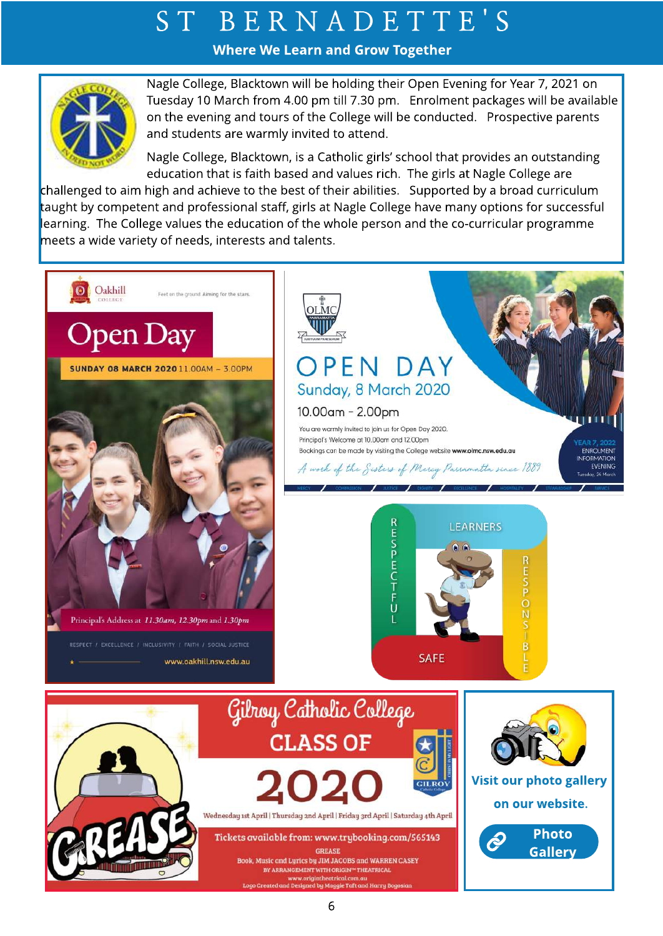Where We Learn and Grow Together



Nagle College, Blacktown will be holding their Open Evening for Year 7, 2021 on Tuesday 10 March from 4.00 pm till 7.30 pm. Enrolment packages will be available on the evening and tours of the College will be conducted. Prospective parents and students are warmly invited to attend.

Nagle College, Blacktown, is a Catholic girls?school that provides an outstanding education that is faith based and values rich. The girls at Nagle College are

challenged to aim high and achieve to the best of their abilities. Supported by a broad curriculum taught by competent and professional staff, girls at Nagle College have many options for successful learning. The College values the education of the whole person and the co-curricular programme meets a wide variety of needs, interests and talents.

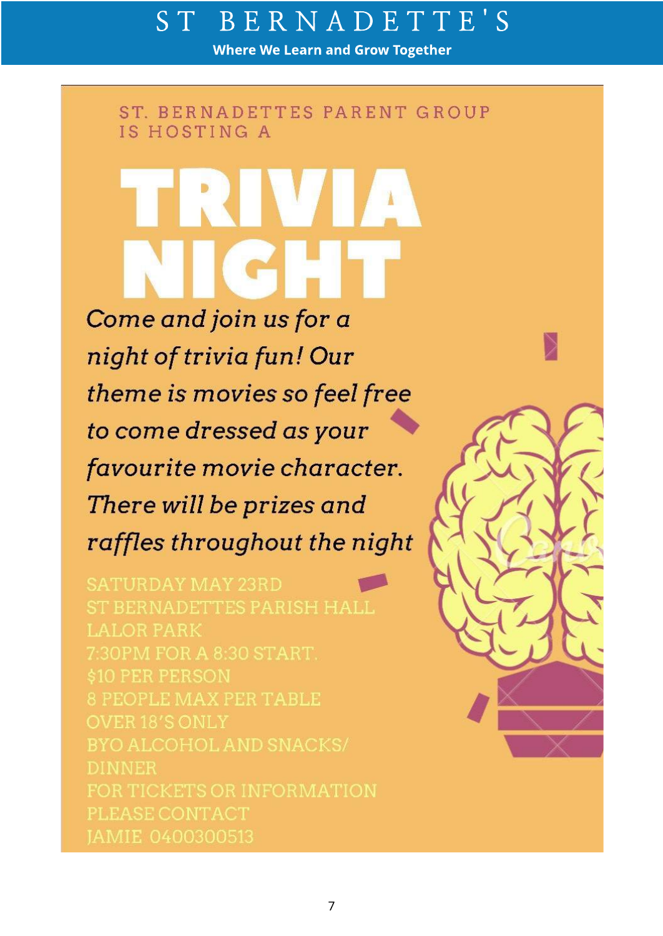Where We Learn and Grow Together

ST. BERNADETTES PARENT GROUP IS HOSTING A

Come and join us for a night of trivia fun! Our theme is movies so feel free to come dressed as your favourite movie character. There will be prizes and raffles throughout the night

8 PEOPLE MAX PER TABLE **DINNER** 

7